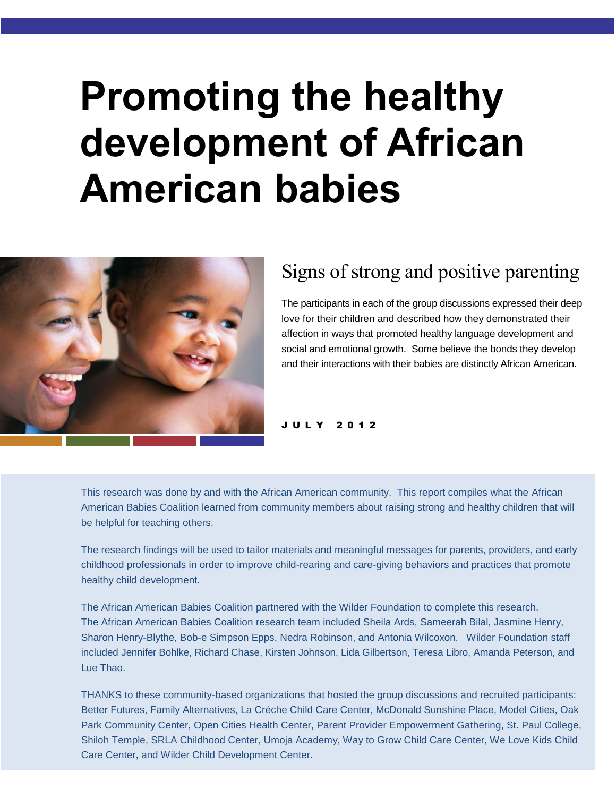# **Promoting the healthy development of African American babies**



# Signs of strong and positive parenting

The participants in each of the group discussions expressed their deep love for their children and described how they demonstrated their affection in ways that promoted healthy language development and social and emotional growth. Some believe the bonds they develop and their interactions with their babies are distinctly African American.

J U L Y 2 0 1 2

This research was done by and with the African American community. This report compiles what the African American Babies Coalition learned from community members about raising strong and healthy children that will be helpful for teaching others.

The research findings will be used to tailor materials and meaningful messages for parents, providers, and early childhood professionals in order to improve child-rearing and care-giving behaviors and practices that promote healthy child development.

The African American Babies Coalition partnered with the Wilder Foundation to complete this research. The African American Babies Coalition research team included Sheila Ards, Sameerah Bilal, Jasmine Henry, Sharon Henry-Blythe, Bob-e Simpson Epps, Nedra Robinson, and Antonia Wilcoxon. Wilder Foundation staff included Jennifer Bohlke, Richard Chase, Kirsten Johnson, Lida Gilbertson, Teresa Libro, Amanda Peterson, and Lue Thao.

THANKS to these community-based organizations that hosted the group discussions and recruited participants: Better Futures, Family Alternatives, La Crèche Child Care Center, McDonald Sunshine Place, Model Cities, Oak Park Community Center, Open Cities Health Center, Parent Provider Empowerment Gathering, St. Paul College, Shiloh Temple, SRLA Childhood Center, Umoja Academy, Way to Grow Child Care Center, We Love Kids Child Care Center, and Wilder Child Development Center.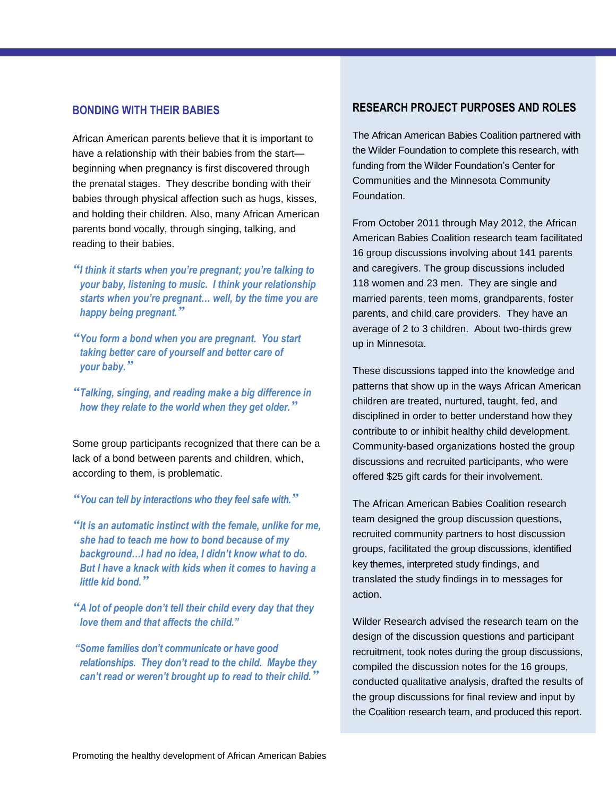## **BONDING WITH THEIR BABIES**

African American parents believe that it is important to have a relationship with their babies from the start beginning when pregnancy is first discovered through the prenatal stages. They describe bonding with their babies through physical affection such as hugs, kisses, and holding their children. Also, many African American parents bond vocally, through singing, talking, and reading to their babies.

- *"I think it starts when you're pregnant; you're talking to your baby, listening to music. I think your relationship starts when you're pregnant… well, by the time you are happy being pregnant."*
- *"You form a bond when you are pregnant. You start taking better care of yourself and better care of your baby."*
- *"Talking, singing, and reading make a big difference in how they relate to the world when they get older."*

Some group participants recognized that there can be a lack of a bond between parents and children, which, according to them, is problematic.

*"You can tell by interactions who they feel safe with."*

- *"It is an automatic instinct with the female, unlike for me, she had to teach me how to bond because of my background…I had no idea, I didn't know what to do. But I have a knack with kids when it comes to having a little kid bond."*
- *"A lot of people don't tell their child every day that they love them and that affects the child."*

*"Some families don't communicate or have good relationships. They don't read to the child. Maybe they can't read or weren't brought up to read to their child."*

## **RESEARCH PROJECT PURPOSES AND ROLES**

The African American Babies Coalition partnered with the Wilder Foundation to complete this research, with funding from the Wilder Foundation's Center for Communities and the Minnesota Community Foundation.

From October 2011 through May 2012, the African American Babies Coalition research team facilitated 16 group discussions involving about 141 parents and caregivers. The group discussions included 118 women and 23 men. They are single and married parents, teen moms, grandparents, foster parents, and child care providers. They have an average of 2 to 3 children. About two-thirds grew up in Minnesota.

These discussions tapped into the knowledge and patterns that show up in the ways African American children are treated, nurtured, taught, fed, and disciplined in order to better understand how they contribute to or inhibit healthy child development. Community-based organizations hosted the group discussions and recruited participants, who were offered \$25 gift cards for their involvement.

The African American Babies Coalition research team designed the group discussion questions, recruited community partners to host discussion groups, facilitated the group discussions, identified key themes, interpreted study findings, and translated the study findings in to messages for action.

Wilder Research advised the research team on the design of the discussion questions and participant recruitment, took notes during the group discussions, compiled the discussion notes for the 16 groups, conducted qualitative analysis, drafted the results of the group discussions for final review and input by the Coalition research team, and produced this report.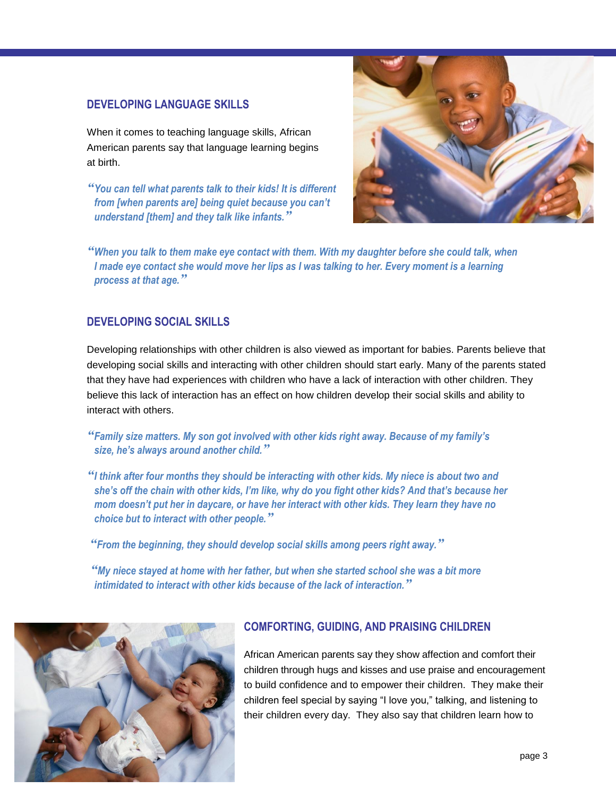# **DEVELOPING LANGUAGE SKILLS**

When it comes to teaching language skills, African American parents say that language learning begins at birth.

*"You can tell what parents talk to their kids! It is different from [when parents are] being quiet because you can't understand [them] and they talk like infants."*



*"When you talk to them make eye contact with them. With my daughter before she could talk, when I* made eye contact she would move her lips as I was talking to her. Every moment is a learning *process at that age."*

# **DEVELOPING SOCIAL SKILLS**

Developing relationships with other children is also viewed as important for babies. Parents believe that developing social skills and interacting with other children should start early. Many of the parents stated that they have had experiences with children who have a lack of interaction with other children. They believe this lack of interaction has an effect on how children develop their social skills and ability to interact with others.

# *"Family size matters. My son got involved with other kids right away. Because of my family's size, he's always around another child."*

*"I think after four months they should be interacting with other kids. My niece is about two and she's off the chain with other kids, I'm like, why do you fight other kids? And that's because her mom doesn't put her in daycare, or have her interact with other kids. They learn they have no choice but to interact with other people."*

*"From the beginning, they should develop social skills among peers right away."*

*"My niece stayed at home with her father, but when she started school she was a bit more intimidated to interact with other kids because of the lack of interaction."*



# **COMFORTING, GUIDING, AND PRAISING CHILDREN**

African American parents say they show affection and comfort their children through hugs and kisses and use praise and encouragement to build confidence and to empower their children. They make their children feel special by saying "I love you," talking, and listening to their children every day. They also say that children learn how to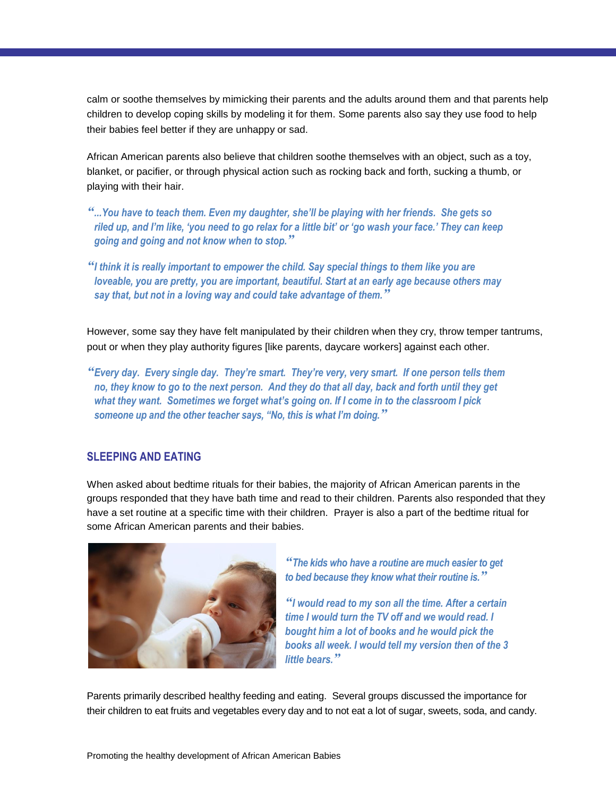calm or soothe themselves by mimicking their parents and the adults around them and that parents help children to develop coping skills by modeling it for them. Some parents also say they use food to help their babies feel better if they are unhappy or sad.

African American parents also believe that children soothe themselves with an object, such as a toy, blanket, or pacifier, or through physical action such as rocking back and forth, sucking a thumb, or playing with their hair.

*"...You have to teach them. Even my daughter, she'll be playing with her friends. She gets so riled up, and I'm like, 'you need to go relax for a little bit' or 'go wash your face.' They can keep going and going and not know when to stop."*

*"I think it is really important to empower the child. Say special things to them like you are loveable, you are pretty, you are important, beautiful. Start at an early age because others may say that, but not in a loving way and could take advantage of them."*

However, some say they have felt manipulated by their children when they cry, throw temper tantrums, pout or when they play authority figures [like parents, daycare workers] against each other.

*"Every day. Every single day. They're smart. They're very, very smart. If one person tells them no, they know to go to the next person. And they do that all day, back and forth until they get*  what they want. Sometimes we forget what's going on. If I come in to the classroom I pick *someone up and the other teacher says, "No, this is what I'm doing."*

## **SLEEPING AND EATING**

When asked about bedtime rituals for their babies, the majority of African American parents in the groups responded that they have bath time and read to their children. Parents also responded that they have a set routine at a specific time with their children. Prayer is also a part of the bedtime ritual for some African American parents and their babies.



*"The kids who have a routine are much easier to get to bed because they know what their routine is."*

*"I would read to my son all the time. After a certain time I would turn the TV off and we would read. I bought him a lot of books and he would pick the books all week. I would tell my version then of the 3 little bears."*

Parents primarily described healthy feeding and eating. Several groups discussed the importance for their children to eat fruits and vegetables every day and to not eat a lot of sugar, sweets, soda, and candy.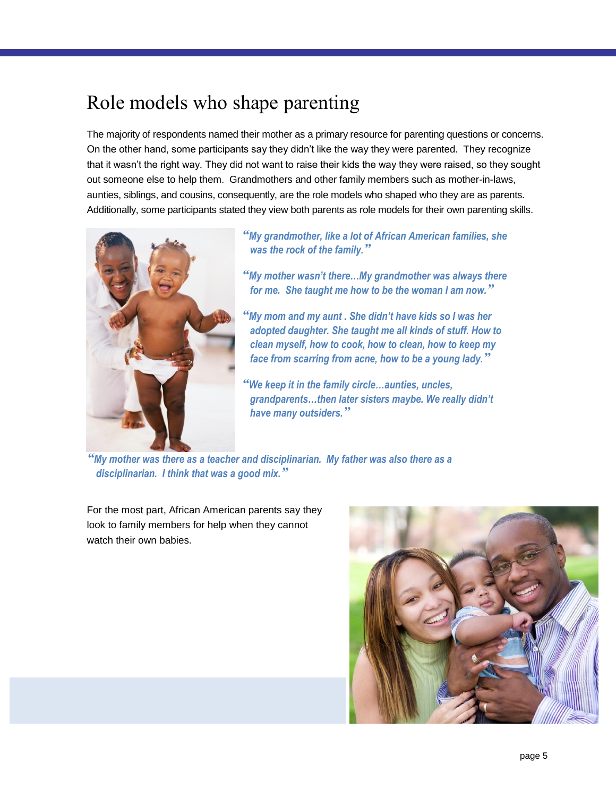# Role models who shape parenting

The majority of respondents named their mother as a primary resource for parenting questions or concerns. On the other hand, some participants say they didn't like the way they were parented. They recognize that it wasn't the right way. They did not want to raise their kids the way they were raised, so they sought out someone else to help them. Grandmothers and other family members such as mother-in-laws, aunties, siblings, and cousins, consequently, are the role models who shaped who they are as parents. Additionally, some participants stated they view both parents as role models for their own parenting skills.



*"My grandmother, like a lot of African American families, she was the rock of the family."*

*"My mother wasn't there…My grandmother was always there for me. She taught me how to be the woman I am now."*

*"My mom and my aunt . She didn't have kids so I was her adopted daughter. She taught me all kinds of stuff. How to clean myself, how to cook, how to clean, how to keep my face from scarring from acne, how to be a young lady."*

*"We keep it in the family circle…aunties, uncles, grandparents…then later sisters maybe. We really didn't have many outsiders."*

*"My mother was there as a teacher and disciplinarian. My father was also there as a disciplinarian. I think that was a good mix."*

For the most part, African American parents say they look to family members for help when they cannot watch their own babies.

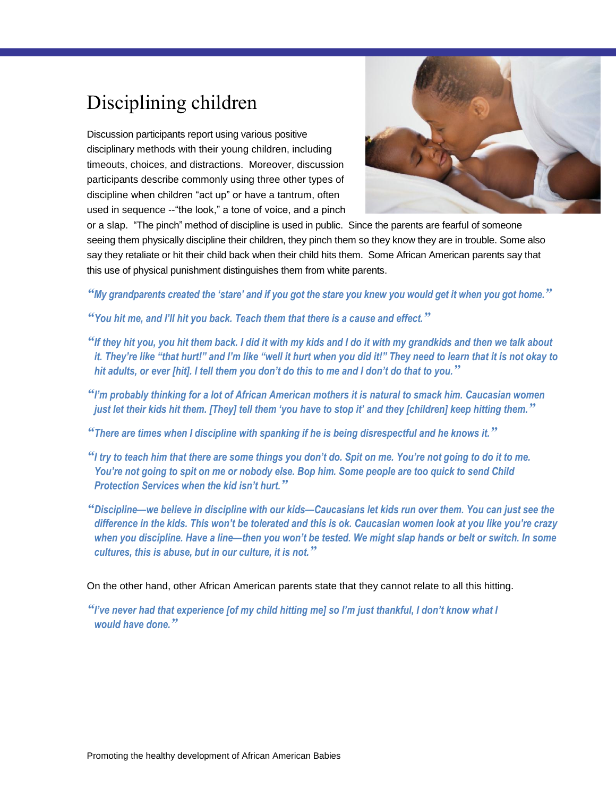# Disciplining children

Discussion participants report using various positive disciplinary methods with their young children, including timeouts, choices, and distractions. Moreover, discussion participants describe commonly using three other types of discipline when children "act up" or have a tantrum, often used in sequence --"the look," a tone of voice, and a pinch



or a slap. "The pinch" method of discipline is used in public. Since the parents are fearful of someone seeing them physically discipline their children, they pinch them so they know they are in trouble. Some also say they retaliate or hit their child back when their child hits them. Some African American parents say that this use of physical punishment distinguishes them from white parents.

*"My grandparents created the 'stare' and if you got the stare you knew you would get it when you got home."*

*"You hit me, and I'll hit you back. Teach them that there is a cause and effect."*

- *"If they hit you, you hit them back. I did it with my kids and I do it with my grandkids and then we talk about it. They're like "that hurt!" and I'm like "well it hurt when you did it!" They need to learn that it is not okay to hit adults, or ever [hit]. I tell them you don't do this to me and I don't do that to you."*
- *"I'm probably thinking for a lot of African American mothers it is natural to smack him. Caucasian women just let their kids hit them. [They] tell them 'you have to stop it' and they [children] keep hitting them."*

*"There are times when I discipline with spanking if he is being disrespectful and he knows it."*

- *"I try to teach him that there are some things you don't do. Spit on me. You're not going to do it to me. You're not going to spit on me or nobody else. Bop him. Some people are too quick to send Child Protection Services when the kid isn't hurt."*
- *"Discipline—we believe in discipline with our kids—Caucasians let kids run over them. You can just see the difference in the kids. This won't be tolerated and this is ok. Caucasian women look at you like you're crazy when you discipline. Have a line—then you won't be tested. We might slap hands or belt or switch. In some cultures, this is abuse, but in our culture, it is not."*

On the other hand, other African American parents state that they cannot relate to all this hitting.

*"I've never had that experience [of my child hitting me] so I'm just thankful, I don't know what I would have done."*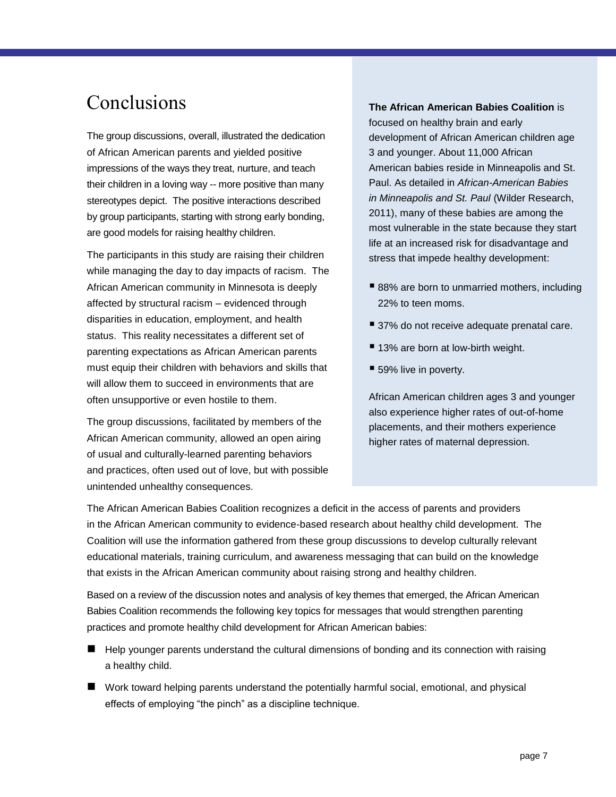# Conclusions

The group discussions, overall, illustrated the dedication of African American parents and yielded positive impressions of the ways they treat, nurture, and teach their children in a loving way -- more positive than many stereotypes depict. The positive interactions described by group participants, starting with strong early bonding, are good models for raising healthy children.

The participants in this study are raising their children while managing the day to day impacts of racism. The African American community in Minnesota is deeply affected by structural racism – evidenced through disparities in education, employment, and health status. This reality necessitates a different set of parenting expectations as African American parents must equip their children with behaviors and skills that will allow them to succeed in environments that are often unsupportive or even hostile to them.

The group discussions, facilitated by members of the African American community, allowed an open airing of usual and culturally-learned parenting behaviors and practices, often used out of love, but with possible unintended unhealthy consequences.

#### **The African American Babies Coalition** is

focused on healthy brain and early development of African American children age 3 and younger. About 11,000 African American babies reside in Minneapolis and St. Paul. As detailed in *African-American Babies in Minneapolis and St. Paul* (Wilder Research, 2011), many of these babies are among the most vulnerable in the state because they start life at an increased risk for disadvantage and stress that impede healthy development:

- 88% are born to unmarried mothers, including 22% to teen moms.
- 37% do not receive adequate prenatal care.
- 13% are born at low-birth weight.
- 59% live in poverty.

African American children ages 3 and younger also experience higher rates of out-of-home placements, and their mothers experience higher rates of maternal depression.

The African American Babies Coalition recognizes a deficit in the access of parents and providers in the African American community to evidence-based research about healthy child development. The Coalition will use the information gathered from these group discussions to develop culturally relevant educational materials, training curriculum, and awareness messaging that can build on the knowledge that exists in the African American community about raising strong and healthy children.

Based on a review of the discussion notes and analysis of key themes that emerged, the African American Babies Coalition recommends the following key topics for messages that would strengthen parenting practices and promote healthy child development for African American babies:

- Help younger parents understand the cultural dimensions of bonding and its connection with raising a healthy child.
- Work toward helping parents understand the potentially harmful social, emotional, and physical effects of employing "the pinch" as a discipline technique.